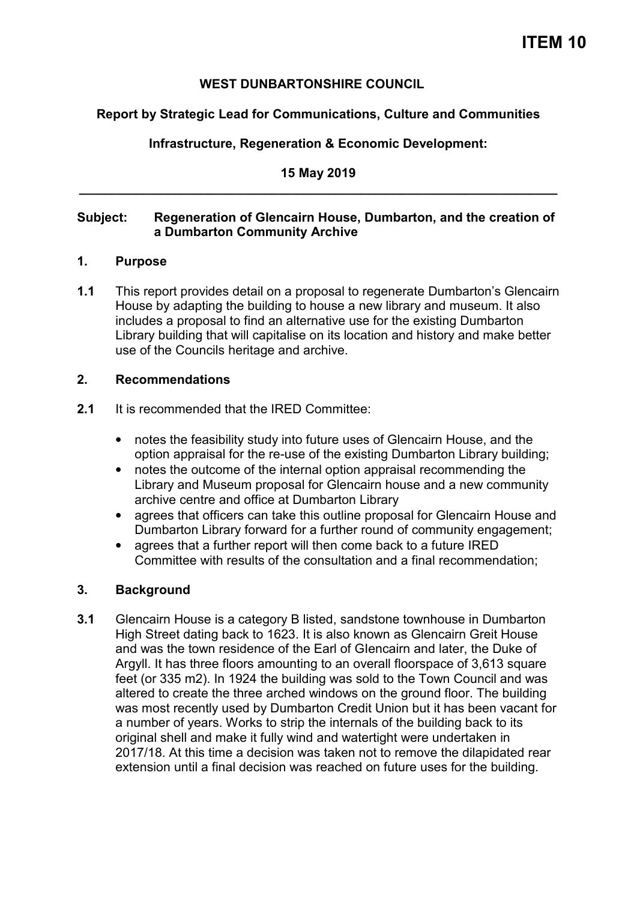## **WEST DUNBARTONSHIRE COUNCIL**

## **Report by Strategic Lead for Communications, Culture and Communities**

# **Infrastructure, Regeneration & Economic Development:**

**15 May 2019 \_\_\_\_\_\_\_\_\_\_\_\_\_\_\_\_\_\_\_\_\_\_\_\_\_\_\_\_\_\_\_\_\_\_\_\_\_\_\_\_\_\_\_\_\_\_\_\_\_\_\_\_\_\_\_\_\_\_\_\_\_\_\_\_\_\_\_** 

## **Subject: Regeneration of Glencairn House, Dumbarton, and the creation of a Dumbarton Community Archive**

#### **1. Purpose**

**1.1** This report provides detail on a proposal to regenerate Dumbarton's Glencairn House by adapting the building to house a new library and museum. It also includes a proposal to find an alternative use for the existing Dumbarton Library building that will capitalise on its location and history and make better use of the Councils heritage and archive.

#### **2. Recommendations**

- **2.1** It is recommended that the IRED Committee:
	- notes the feasibility study into future uses of Glencairn House, and the option appraisal for the re-use of the existing Dumbarton Library building;
	- notes the outcome of the internal option appraisal recommending the Library and Museum proposal for Glencairn house and a new community archive centre and office at Dumbarton Library
	- agrees that officers can take this outline proposal for Glencairn House and Dumbarton Library forward for a further round of community engagement;
	- agrees that a further report will then come back to a future IRED Committee with results of the consultation and a final recommendation;

#### **3. Background**

**3.1** Glencairn House is a category B listed, sandstone townhouse in Dumbarton High Street dating back to 1623. It is also known as Glencairn Greit House and was the town residence of the Earl of GIencairn and later, the Duke of Argyll. It has three floors amounting to an overall floorspace of 3,613 square feet (or 335 m2). In 1924 the building was sold to the Town Council and was altered to create the three arched windows on the ground floor. The building was most recently used by Dumbarton Credit Union but it has been vacant for a number of years. Works to strip the internals of the building back to its original shell and make it fully wind and watertight were undertaken in 2017/18. At this time a decision was taken not to remove the dilapidated rear extension until a final decision was reached on future uses for the building.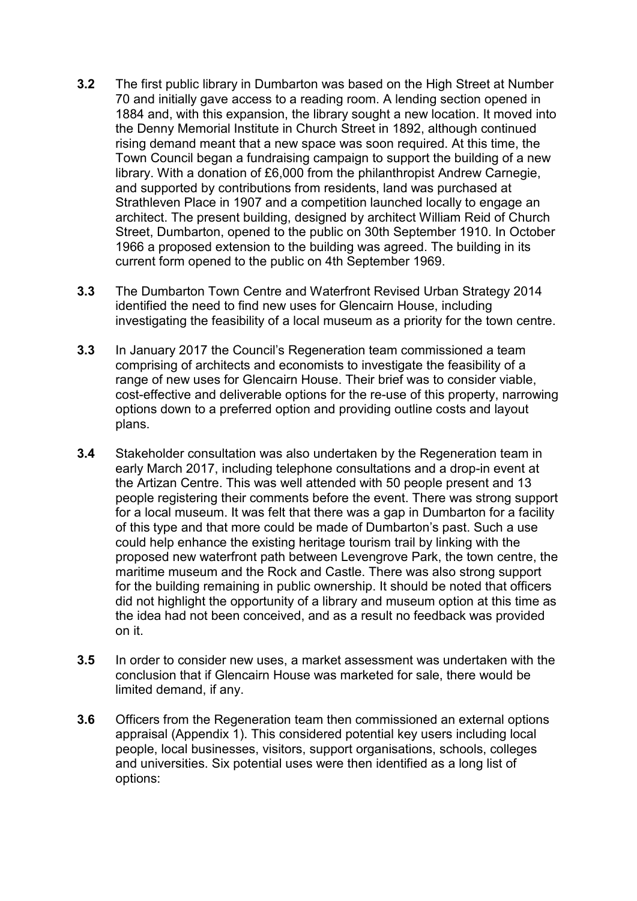- **3.2** The first public library in Dumbarton was based on the High Street at Number 70 and initially gave access to a reading room. A lending section opened in 1884 and, with this expansion, the library sought a new location. It moved into the Denny Memorial Institute in Church Street in 1892, although continued rising demand meant that a new space was soon required. At this time, the Town Council began a fundraising campaign to support the building of a new library. With a donation of £6,000 from the philanthropist Andrew Carnegie, and supported by contributions from residents, land was purchased at Strathleven Place in 1907 and a competition launched locally to engage an architect. The present building, designed by architect William Reid of Church Street, Dumbarton, opened to the public on 30th September 1910. In October 1966 a proposed extension to the building was agreed. The building in its current form opened to the public on 4th September 1969.
- **3.3** The Dumbarton Town Centre and Waterfront Revised Urban Strategy 2014 identified the need to find new uses for Glencairn House, including investigating the feasibility of a local museum as a priority for the town centre.
- **3.3** In January 2017 the Council's Regeneration team commissioned a team comprising of architects and economists to investigate the feasibility of a range of new uses for Glencairn House. Their brief was to consider viable, cost-effective and deliverable options for the re-use of this property, narrowing options down to a preferred option and providing outline costs and layout plans.
- **3.4** Stakeholder consultation was also undertaken by the Regeneration team in early March 2017, including telephone consultations and a drop-in event at the Artizan Centre. This was well attended with 50 people present and 13 people registering their comments before the event. There was strong support for a local museum. It was felt that there was a gap in Dumbarton for a facility of this type and that more could be made of Dumbarton's past. Such a use could help enhance the existing heritage tourism trail by linking with the proposed new waterfront path between Levengrove Park, the town centre, the maritime museum and the Rock and Castle. There was also strong support for the building remaining in public ownership. It should be noted that officers did not highlight the opportunity of a library and museum option at this time as the idea had not been conceived, and as a result no feedback was provided on it.
- **3.5** In order to consider new uses, a market assessment was undertaken with the conclusion that if Glencairn House was marketed for sale, there would be limited demand, if any.
- **3.6** Officers from the Regeneration team then commissioned an external options appraisal (Appendix 1). This considered potential key users including local people, local businesses, visitors, support organisations, schools, colleges and universities. Six potential uses were then identified as a long list of options: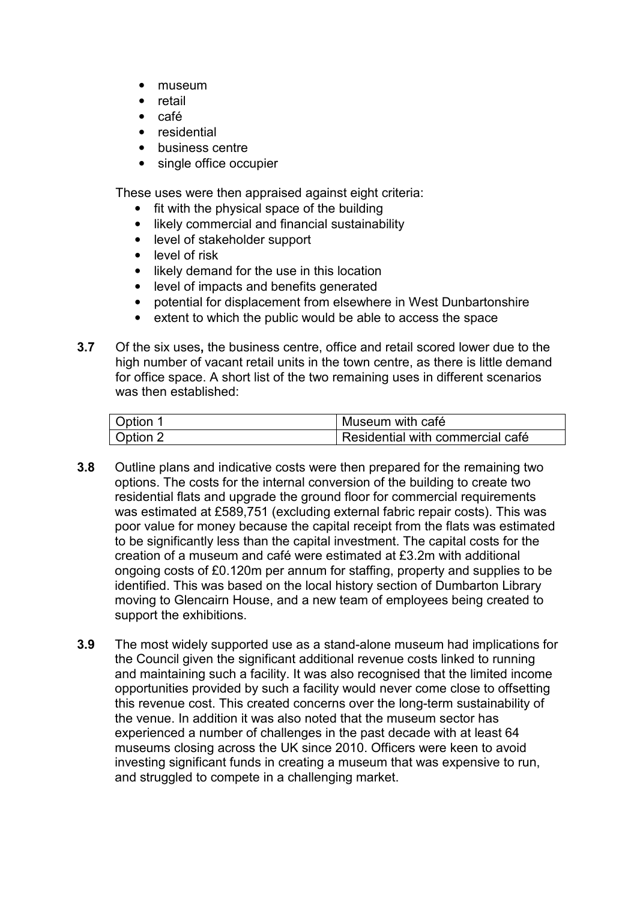- museum
- retail
- café
- residential
- business centre
- single office occupier

These uses were then appraised against eight criteria:

- fit with the physical space of the building
- likely commercial and financial sustainability
- level of stakeholder support
- level of risk
- likely demand for the use in this location
- level of impacts and benefits generated
- potential for displacement from elsewhere in West Dunbartonshire
- extent to which the public would be able to access the space
- **3.7** Of the six uses**,** the business centre, office and retail scored lower due to the high number of vacant retail units in the town centre, as there is little demand for office space. A short list of the two remaining uses in different scenarios was then established:

| Option 1 | Museum with café                 |
|----------|----------------------------------|
| Option 2 | Residential with commercial café |

- **3.8** Outline plans and indicative costs were then prepared for the remaining two options. The costs for the internal conversion of the building to create two residential flats and upgrade the ground floor for commercial requirements was estimated at £589,751 (excluding external fabric repair costs). This was poor value for money because the capital receipt from the flats was estimated to be significantly less than the capital investment. The capital costs for the creation of a museum and café were estimated at £3.2m with additional ongoing costs of £0.120m per annum for staffing, property and supplies to be identified. This was based on the local history section of Dumbarton Library moving to Glencairn House, and a new team of employees being created to support the exhibitions.
- **3.9** The most widely supported use as a stand-alone museum had implications for the Council given the significant additional revenue costs linked to running and maintaining such a facility. It was also recognised that the limited income opportunities provided by such a facility would never come close to offsetting this revenue cost. This created concerns over the long-term sustainability of the venue. In addition it was also noted that the museum sector has experienced a number of challenges in the past decade with at least 64 museums closing across the UK since 2010. Officers were keen to avoid investing significant funds in creating a museum that was expensive to run, and struggled to compete in a challenging market.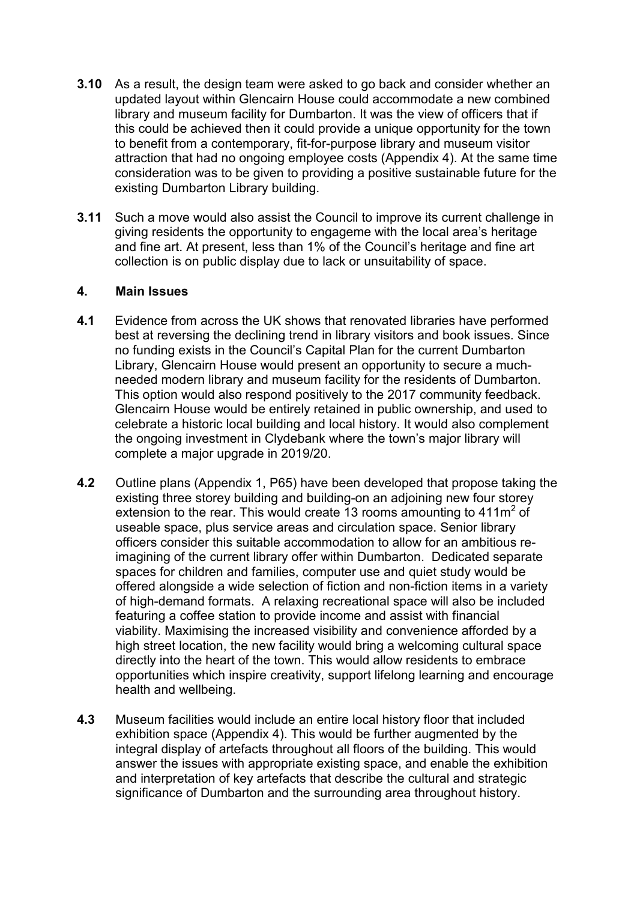- **3.10** As a result, the design team were asked to go back and consider whether an updated layout within Glencairn House could accommodate a new combined library and museum facility for Dumbarton. It was the view of officers that if this could be achieved then it could provide a unique opportunity for the town to benefit from a contemporary, fit-for-purpose library and museum visitor attraction that had no ongoing employee costs (Appendix 4). At the same time consideration was to be given to providing a positive sustainable future for the existing Dumbarton Library building.
- **3.11** Such a move would also assist the Council to improve its current challenge in giving residents the opportunity to engageme with the local area's heritage and fine art. At present, less than 1% of the Council's heritage and fine art collection is on public display due to lack or unsuitability of space.

#### **4. Main Issues**

- **4.1** Evidence from across the UK shows that renovated libraries have performed best at reversing the declining trend in library visitors and book issues. Since no funding exists in the Council's Capital Plan for the current Dumbarton Library, Glencairn House would present an opportunity to secure a muchneeded modern library and museum facility for the residents of Dumbarton. This option would also respond positively to the 2017 community feedback. Glencairn House would be entirely retained in public ownership, and used to celebrate a historic local building and local history. It would also complement the ongoing investment in Clydebank where the town's major library will complete a major upgrade in 2019/20.
- **4.2** Outline plans (Appendix 1, P65) have been developed that propose taking the existing three storey building and building-on an adjoining new four storey extension to the rear. This would create 13 rooms amounting to  $411m^2$  of useable space, plus service areas and circulation space. Senior library officers consider this suitable accommodation to allow for an ambitious reimagining of the current library offer within Dumbarton. Dedicated separate spaces for children and families, computer use and quiet study would be offered alongside a wide selection of fiction and non-fiction items in a variety of high-demand formats. A relaxing recreational space will also be included featuring a coffee station to provide income and assist with financial viability. Maximising the increased visibility and convenience afforded by a high street location, the new facility would bring a welcoming cultural space directly into the heart of the town. This would allow residents to embrace opportunities which inspire creativity, support lifelong learning and encourage health and wellbeing.
- **4.3** Museum facilities would include an entire local history floor that included exhibition space (Appendix 4). This would be further augmented by the integral display of artefacts throughout all floors of the building. This would answer the issues with appropriate existing space, and enable the exhibition and interpretation of key artefacts that describe the cultural and strategic significance of Dumbarton and the surrounding area throughout history.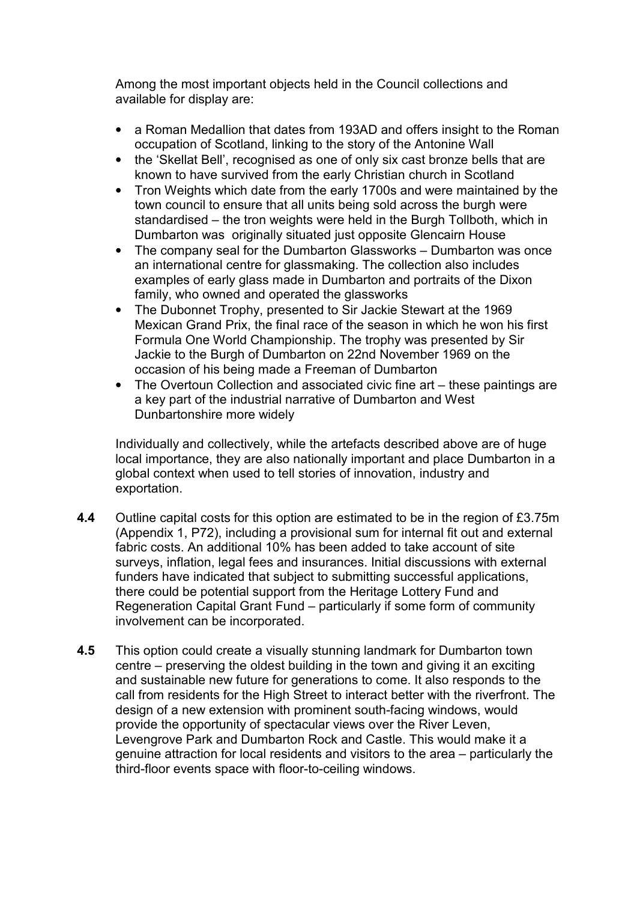Among the most important objects held in the Council collections and available for display are:

- a Roman Medallion that dates from 193AD and offers insight to the Roman occupation of Scotland, linking to the story of the Antonine Wall
- the 'Skellat Bell', recognised as one of only six cast bronze bells that are known to have survived from the early Christian church in Scotland
- Tron Weights which date from the early 1700s and were maintained by the town council to ensure that all units being sold across the burgh were standardised – the tron weights were held in the Burgh Tollboth, which in Dumbarton was originally situated just opposite Glencairn House
- The company seal for the Dumbarton Glassworks Dumbarton was once an international centre for glassmaking. The collection also includes examples of early glass made in Dumbarton and portraits of the Dixon family, who owned and operated the glassworks
- The Dubonnet Trophy, presented to Sir Jackie Stewart at the 1969 Mexican Grand Prix, the final race of the season in which he won his first Formula One World Championship. The trophy was presented by Sir Jackie to the Burgh of Dumbarton on 22nd November 1969 on the occasion of his being made a Freeman of Dumbarton
- The Overtoun Collection and associated civic fine art these paintings are a key part of the industrial narrative of Dumbarton and West Dunbartonshire more widely

Individually and collectively, while the artefacts described above are of huge local importance, they are also nationally important and place Dumbarton in a global context when used to tell stories of innovation, industry and exportation.

- **4.4** Outline capital costs for this option are estimated to be in the region of £3.75m (Appendix 1, P72), including a provisional sum for internal fit out and external fabric costs. An additional 10% has been added to take account of site surveys, inflation, legal fees and insurances. Initial discussions with external funders have indicated that subject to submitting successful applications, there could be potential support from the Heritage Lottery Fund and Regeneration Capital Grant Fund – particularly if some form of community involvement can be incorporated.
- **4.5** This option could create a visually stunning landmark for Dumbarton town centre – preserving the oldest building in the town and giving it an exciting and sustainable new future for generations to come. It also responds to the call from residents for the High Street to interact better with the riverfront. The design of a new extension with prominent south-facing windows, would provide the opportunity of spectacular views over the River Leven, Levengrove Park and Dumbarton Rock and Castle. This would make it a genuine attraction for local residents and visitors to the area – particularly the third-floor events space with floor-to-ceiling windows.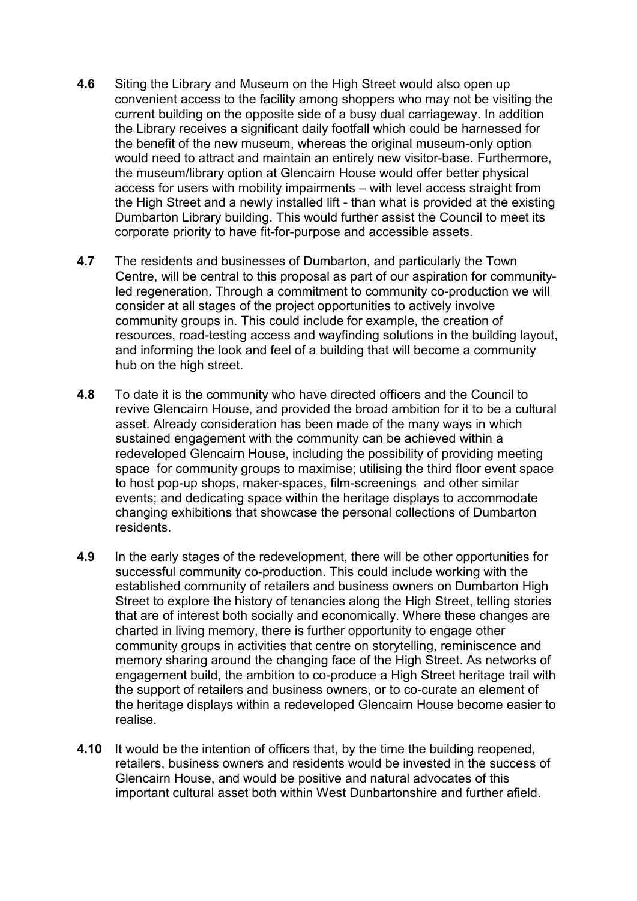- **4.6** Siting the Library and Museum on the High Street would also open up convenient access to the facility among shoppers who may not be visiting the current building on the opposite side of a busy dual carriageway. In addition the Library receives a significant daily footfall which could be harnessed for the benefit of the new museum, whereas the original museum-only option would need to attract and maintain an entirely new visitor-base. Furthermore, the museum/library option at Glencairn House would offer better physical access for users with mobility impairments – with level access straight from the High Street and a newly installed lift - than what is provided at the existing Dumbarton Library building. This would further assist the Council to meet its corporate priority to have fit-for-purpose and accessible assets.
- **4.7** The residents and businesses of Dumbarton, and particularly the Town Centre, will be central to this proposal as part of our aspiration for communityled regeneration. Through a commitment to community co-production we will consider at all stages of the project opportunities to actively involve community groups in. This could include for example, the creation of resources, road-testing access and wayfinding solutions in the building layout, and informing the look and feel of a building that will become a community hub on the high street.
- **4.8** To date it is the community who have directed officers and the Council to revive Glencairn House, and provided the broad ambition for it to be a cultural asset. Already consideration has been made of the many ways in which sustained engagement with the community can be achieved within a redeveloped Glencairn House, including the possibility of providing meeting space for community groups to maximise; utilising the third floor event space to host pop-up shops, maker-spaces, film-screenings and other similar events; and dedicating space within the heritage displays to accommodate changing exhibitions that showcase the personal collections of Dumbarton residents.
- **4.9** In the early stages of the redevelopment, there will be other opportunities for successful community co-production. This could include working with the established community of retailers and business owners on Dumbarton High Street to explore the history of tenancies along the High Street, telling stories that are of interest both socially and economically. Where these changes are charted in living memory, there is further opportunity to engage other community groups in activities that centre on storytelling, reminiscence and memory sharing around the changing face of the High Street. As networks of engagement build, the ambition to co-produce a High Street heritage trail with the support of retailers and business owners, or to co-curate an element of the heritage displays within a redeveloped Glencairn House become easier to realise.
- **4.10** It would be the intention of officers that, by the time the building reopened, retailers, business owners and residents would be invested in the success of Glencairn House, and would be positive and natural advocates of this important cultural asset both within West Dunbartonshire and further afield.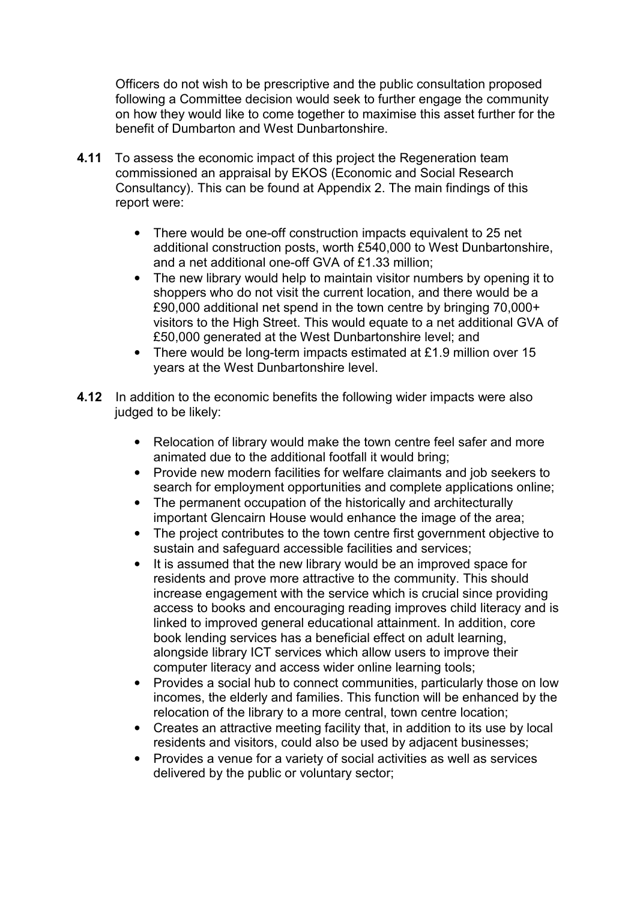Officers do not wish to be prescriptive and the public consultation proposed following a Committee decision would seek to further engage the community on how they would like to come together to maximise this asset further for the benefit of Dumbarton and West Dunbartonshire.

- **4.11** To assess the economic impact of this project the Regeneration team commissioned an appraisal by EKOS (Economic and Social Research Consultancy). This can be found at Appendix 2. The main findings of this report were:
	- There would be one-off construction impacts equivalent to 25 net additional construction posts, worth £540,000 to West Dunbartonshire, and a net additional one-off GVA of £1.33 million;
	- The new library would help to maintain visitor numbers by opening it to shoppers who do not visit the current location, and there would be a £90,000 additional net spend in the town centre by bringing 70,000+ visitors to the High Street. This would equate to a net additional GVA of £50,000 generated at the West Dunbartonshire level; and
	- There would be long-term impacts estimated at £1.9 million over 15 years at the West Dunbartonshire level.
- **4.12** In addition to the economic benefits the following wider impacts were also judged to be likely:
	- Relocation of library would make the town centre feel safer and more animated due to the additional footfall it would bring;
	- Provide new modern facilities for welfare claimants and job seekers to search for employment opportunities and complete applications online;
	- The permanent occupation of the historically and architecturally important Glencairn House would enhance the image of the area;
	- The project contributes to the town centre first government objective to sustain and safeguard accessible facilities and services;
	- It is assumed that the new library would be an improved space for residents and prove more attractive to the community. This should increase engagement with the service which is crucial since providing access to books and encouraging reading improves child literacy and is linked to improved general educational attainment. In addition, core book lending services has a beneficial effect on adult learning, alongside library ICT services which allow users to improve their computer literacy and access wider online learning tools;
	- Provides a social hub to connect communities, particularly those on low incomes, the elderly and families. This function will be enhanced by the relocation of the library to a more central, town centre location;
	- Creates an attractive meeting facility that, in addition to its use by local residents and visitors, could also be used by adjacent businesses;
	- Provides a venue for a variety of social activities as well as services delivered by the public or voluntary sector;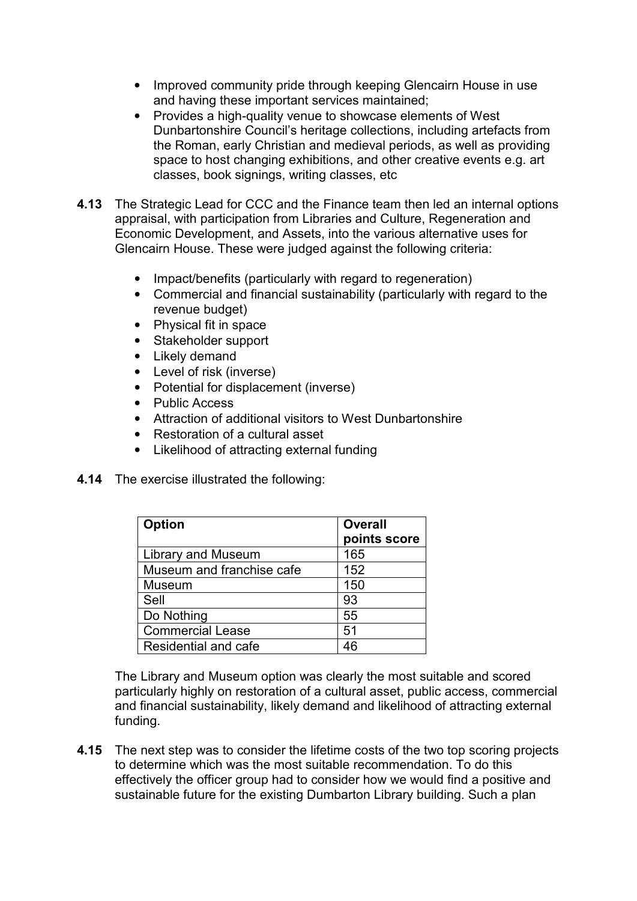- Improved community pride through keeping Glencairn House in use and having these important services maintained;
- Provides a high-quality venue to showcase elements of West Dunbartonshire Council's heritage collections, including artefacts from the Roman, early Christian and medieval periods, as well as providing space to host changing exhibitions, and other creative events e.g. art classes, book signings, writing classes, etc
- **4.13** The Strategic Lead for CCC and the Finance team then led an internal options appraisal, with participation from Libraries and Culture, Regeneration and Economic Development, and Assets, into the various alternative uses for Glencairn House. These were judged against the following criteria:
	- Impact/benefits (particularly with regard to regeneration)
	- Commercial and financial sustainability (particularly with regard to the revenue budget)
	- Physical fit in space
	- Stakeholder support
	- Likely demand
	- Level of risk (inverse)
	- Potential for displacement (inverse)
	- Public Access
	- Attraction of additional visitors to West Dunbartonshire
	- Restoration of a cultural asset
	- Likelihood of attracting external funding
- **4.14** The exercise illustrated the following:

| <b>Option</b>             | <b>Overall</b><br>points score |
|---------------------------|--------------------------------|
| Library and Museum        | 165                            |
| Museum and franchise cafe | 152                            |
| Museum                    | 150                            |
| Sell                      | 93                             |
| Do Nothing                | 55                             |
| <b>Commercial Lease</b>   | 51                             |
| Residential and cafe      | 46                             |

 The Library and Museum option was clearly the most suitable and scored particularly highly on restoration of a cultural asset, public access, commercial and financial sustainability, likely demand and likelihood of attracting external funding.

**4.15** The next step was to consider the lifetime costs of the two top scoring projects to determine which was the most suitable recommendation. To do this effectively the officer group had to consider how we would find a positive and sustainable future for the existing Dumbarton Library building. Such a plan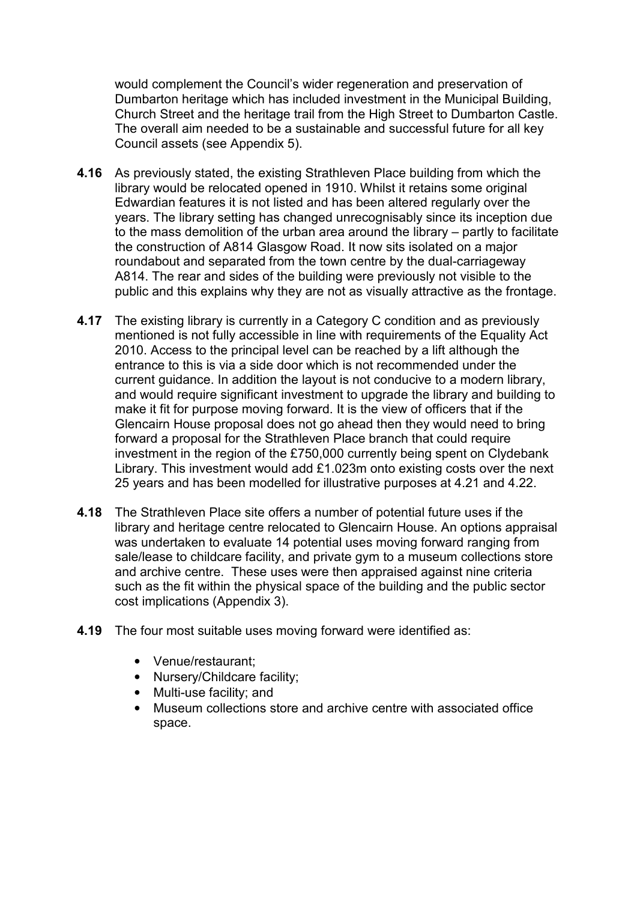would complement the Council's wider regeneration and preservation of Dumbarton heritage which has included investment in the Municipal Building, Church Street and the heritage trail from the High Street to Dumbarton Castle. The overall aim needed to be a sustainable and successful future for all key Council assets (see Appendix 5).

- **4.16** As previously stated, the existing Strathleven Place building from which the library would be relocated opened in 1910. Whilst it retains some original Edwardian features it is not listed and has been altered regularly over the years. The library setting has changed unrecognisably since its inception due to the mass demolition of the urban area around the library – partly to facilitate the construction of A814 Glasgow Road. It now sits isolated on a major roundabout and separated from the town centre by the dual-carriageway A814. The rear and sides of the building were previously not visible to the public and this explains why they are not as visually attractive as the frontage.
- **4.17** The existing library is currently in a Category C condition and as previously mentioned is not fully accessible in line with requirements of the Equality Act 2010. Access to the principal level can be reached by a lift although the entrance to this is via a side door which is not recommended under the current guidance. In addition the layout is not conducive to a modern library, and would require significant investment to upgrade the library and building to make it fit for purpose moving forward. It is the view of officers that if the Glencairn House proposal does not go ahead then they would need to bring forward a proposal for the Strathleven Place branch that could require investment in the region of the £750,000 currently being spent on Clydebank Library. This investment would add £1.023m onto existing costs over the next 25 years and has been modelled for illustrative purposes at 4.21 and 4.22.
- **4.18** The Strathleven Place site offers a number of potential future uses if the library and heritage centre relocated to Glencairn House. An options appraisal was undertaken to evaluate 14 potential uses moving forward ranging from sale/lease to childcare facility, and private gym to a museum collections store and archive centre. These uses were then appraised against nine criteria such as the fit within the physical space of the building and the public sector cost implications (Appendix 3).
- **4.19** The four most suitable uses moving forward were identified as:
	- Venue/restaurant;
	- Nursery/Childcare facility;
	- Multi-use facility; and
	- Museum collections store and archive centre with associated office space.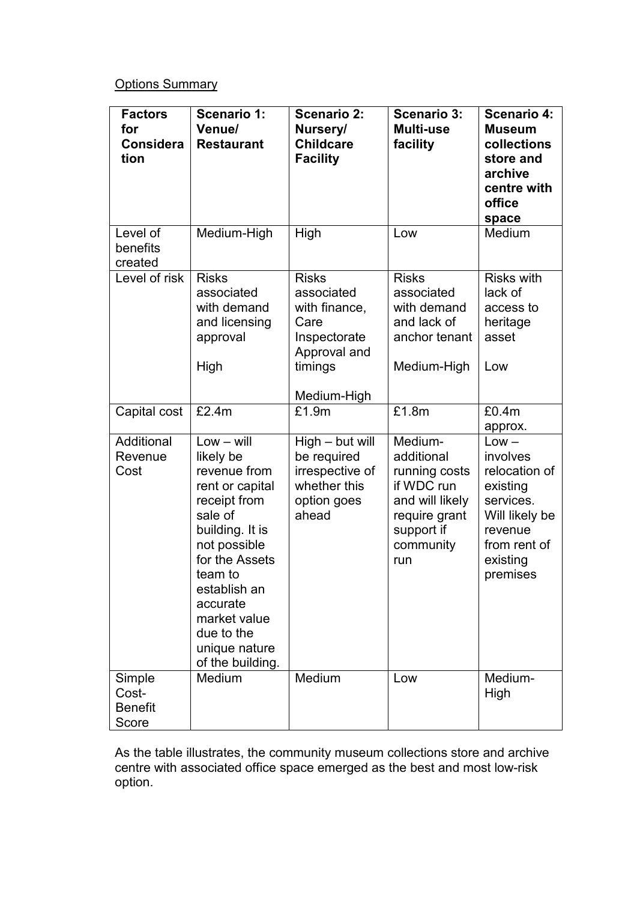# Options Summary

| <b>Factors</b><br>for<br><b>Considera</b><br>tion | <b>Scenario 1:</b><br>Venue/<br><b>Restaurant</b>                                                                                                                                                                                                      | <b>Scenario 2:</b><br>Nursery/<br><b>Childcare</b><br><b>Facility</b>                                         | <b>Scenario 3:</b><br>Multi-use<br>facility                                                                                | <b>Scenario 4:</b><br><b>Museum</b><br>collections<br>store and<br>archive<br>centre with<br>office<br>space                       |
|---------------------------------------------------|--------------------------------------------------------------------------------------------------------------------------------------------------------------------------------------------------------------------------------------------------------|---------------------------------------------------------------------------------------------------------------|----------------------------------------------------------------------------------------------------------------------------|------------------------------------------------------------------------------------------------------------------------------------|
| Level of<br>benefits<br>created                   | Medium-High                                                                                                                                                                                                                                            | High                                                                                                          | Low                                                                                                                        | Medium                                                                                                                             |
| Level of risk                                     | <b>Risks</b><br>associated<br>with demand<br>and licensing<br>approval<br>High                                                                                                                                                                         | <b>Risks</b><br>associated<br>with finance,<br>Care<br>Inspectorate<br>Approval and<br>timings<br>Medium-High | <b>Risks</b><br>associated<br>with demand<br>and lack of<br>anchor tenant<br>Medium-High                                   | <b>Risks with</b><br>lack of<br>access to<br>heritage<br>asset<br>Low                                                              |
| Capital cost                                      | £2.4m                                                                                                                                                                                                                                                  | £1.9m                                                                                                         | £1.8m                                                                                                                      | £0.4m<br>approx.                                                                                                                   |
| Additional<br>Revenue<br>Cost                     | $Low - will$<br>likely be<br>revenue from<br>rent or capital<br>receipt from<br>sale of<br>building. It is<br>not possible<br>for the Assets<br>team to<br>establish an<br>accurate<br>market value<br>due to the<br>unique nature<br>of the building. | High - but will<br>be required<br>irrespective of<br>whether this<br>option goes<br>ahead                     | Medium-<br>additional<br>running costs<br>if WDC run<br>and will likely<br>require grant<br>support if<br>community<br>run | $Low -$<br>involves<br>relocation of<br>existing<br>services.<br>Will likely be<br>revenue<br>from rent of<br>existing<br>premises |
| Simple<br>Cost-<br><b>Benefit</b><br>Score        | Medium                                                                                                                                                                                                                                                 | Medium                                                                                                        | Low                                                                                                                        | Medium-<br>High                                                                                                                    |

 As the table illustrates, the community museum collections store and archive centre with associated office space emerged as the best and most low-risk option.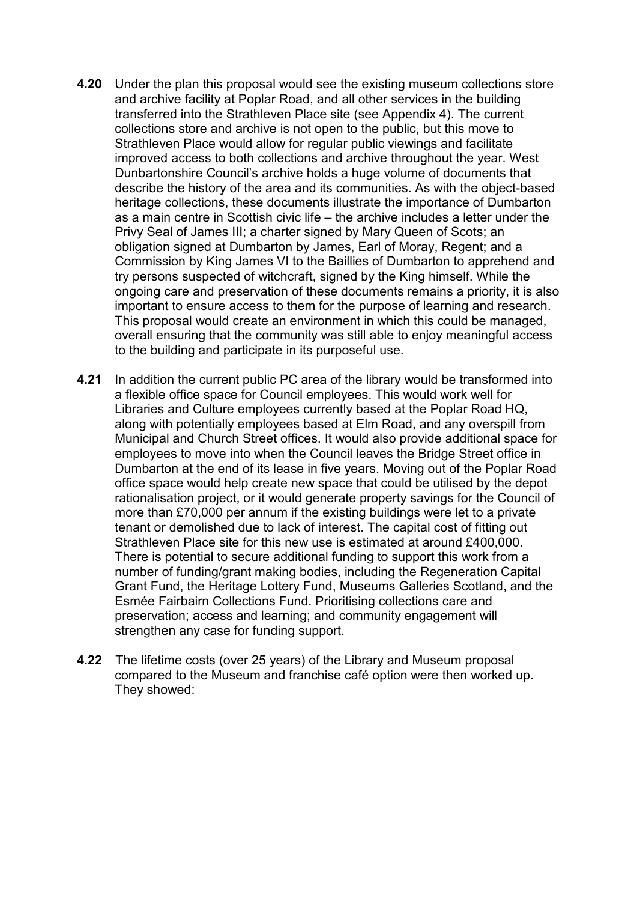- **4.20** Under the plan this proposal would see the existing museum collections store and archive facility at Poplar Road, and all other services in the building transferred into the Strathleven Place site (see Appendix 4). The current collections store and archive is not open to the public, but this move to Strathleven Place would allow for regular public viewings and facilitate improved access to both collections and archive throughout the year. West Dunbartonshire Council's archive holds a huge volume of documents that describe the history of the area and its communities. As with the object-based heritage collections, these documents illustrate the importance of Dumbarton as a main centre in Scottish civic life – the archive includes a letter under the Privy Seal of James III; a charter signed by Mary Queen of Scots; an obligation signed at Dumbarton by James, Earl of Moray, Regent; and a Commission by King James VI to the Baillies of Dumbarton to apprehend and try persons suspected of witchcraft, signed by the King himself. While the ongoing care and preservation of these documents remains a priority, it is also important to ensure access to them for the purpose of learning and research. This proposal would create an environment in which this could be managed, overall ensuring that the community was still able to enjoy meaningful access to the building and participate in its purposeful use.
- **4.21** In addition the current public PC area of the library would be transformed into a flexible office space for Council employees. This would work well for Libraries and Culture employees currently based at the Poplar Road HQ, along with potentially employees based at Elm Road, and any overspill from Municipal and Church Street offices. It would also provide additional space for employees to move into when the Council leaves the Bridge Street office in Dumbarton at the end of its lease in five years. Moving out of the Poplar Road office space would help create new space that could be utilised by the depot rationalisation project, or it would generate property savings for the Council of more than £70,000 per annum if the existing buildings were let to a private tenant or demolished due to lack of interest. The capital cost of fitting out Strathleven Place site for this new use is estimated at around £400,000. There is potential to secure additional funding to support this work from a number of funding/grant making bodies, including the Regeneration Capital Grant Fund, the Heritage Lottery Fund, Museums Galleries Scotland, and the Esmée Fairbairn Collections Fund. Prioritising collections care and preservation; access and learning; and community engagement will strengthen any case for funding support.
- **4.22** The lifetime costs (over 25 years) of the Library and Museum proposal compared to the Museum and franchise café option were then worked up. They showed: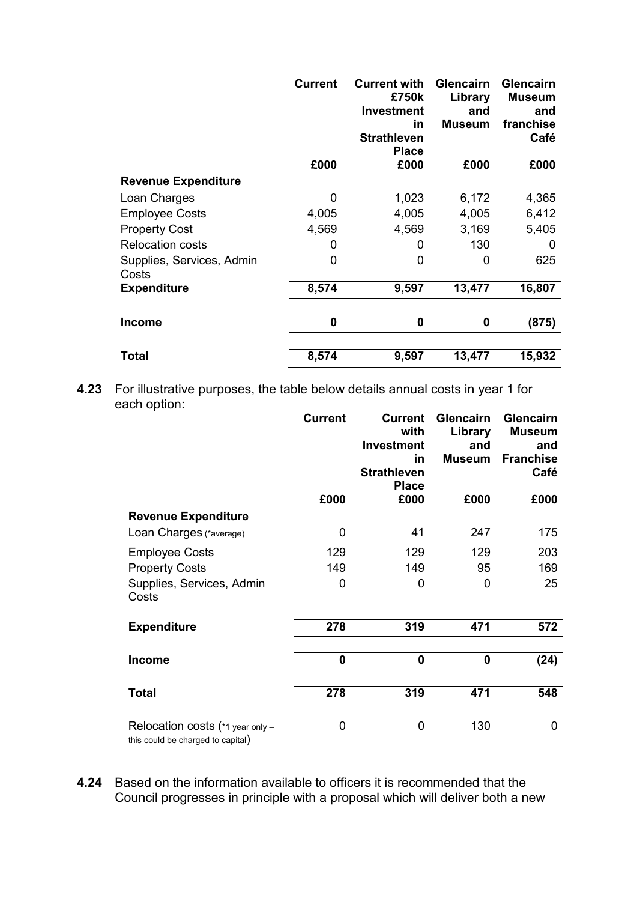|                                    | <b>Current</b> | <b>Current with</b><br>£750k<br><b>Investment</b><br>in<br><b>Strathleven</b><br><b>Place</b> | <b>Glencairn</b><br>Library<br>and<br><b>Museum</b> | <b>Glencairn</b><br><b>Museum</b><br>and<br>franchise<br>Café |
|------------------------------------|----------------|-----------------------------------------------------------------------------------------------|-----------------------------------------------------|---------------------------------------------------------------|
|                                    | £000           | £000                                                                                          | £000                                                | £000                                                          |
| <b>Revenue Expenditure</b>         |                |                                                                                               |                                                     |                                                               |
| Loan Charges                       | 0              | 1,023                                                                                         | 6,172                                               | 4,365                                                         |
| <b>Employee Costs</b>              | 4,005          | 4,005                                                                                         | 4,005                                               | 6,412                                                         |
| <b>Property Cost</b>               | 4,569          | 4,569                                                                                         | 3,169                                               | 5,405                                                         |
| <b>Relocation costs</b>            | 0              | O                                                                                             | 130                                                 | 0                                                             |
| Supplies, Services, Admin<br>Costs | 0              | 0                                                                                             | 0                                                   | 625                                                           |
| <b>Expenditure</b>                 | 8,574          | 9,597                                                                                         | 13,477                                              | 16,807                                                        |
|                                    |                |                                                                                               |                                                     |                                                               |
| Income                             | 0              | 0                                                                                             | 0                                                   | (875)                                                         |
|                                    |                |                                                                                               |                                                     |                                                               |
| Total                              | 8,574          | 9,597                                                                                         | 13,477                                              | 15,932                                                        |

**4.23** For illustrative purposes, the table below details annual costs in year 1 for each option:

|                                                                       | <b>Current</b> | <b>Current</b><br>with<br><b>Investment</b><br>in<br><b>Strathleven</b><br><b>Place</b> | <b>Glencairn</b><br>Library<br>and<br><b>Museum</b> | Glencairn<br><b>Museum</b><br>and<br><b>Franchise</b><br>Café |
|-----------------------------------------------------------------------|----------------|-----------------------------------------------------------------------------------------|-----------------------------------------------------|---------------------------------------------------------------|
|                                                                       | £000           | £000                                                                                    | £000                                                | £000                                                          |
| <b>Revenue Expenditure</b>                                            |                |                                                                                         |                                                     |                                                               |
| Loan Charges (*average)                                               | 0              | 41                                                                                      | 247                                                 | 175                                                           |
| <b>Employee Costs</b>                                                 | 129            | 129                                                                                     | 129                                                 | 203                                                           |
| <b>Property Costs</b>                                                 | 149            | 149                                                                                     | 95                                                  | 169                                                           |
| Supplies, Services, Admin<br>Costs                                    | 0              | 0                                                                                       | 0                                                   | 25                                                            |
| <b>Expenditure</b>                                                    | 278            | 319                                                                                     | 471                                                 | 572                                                           |
| <b>Income</b>                                                         | $\bf{0}$       | 0                                                                                       | 0                                                   | (24)                                                          |
| <b>Total</b>                                                          | 278            | 319                                                                                     | 471                                                 | 548                                                           |
|                                                                       |                |                                                                                         |                                                     |                                                               |
| Relocation costs (*1 year only -<br>this could be charged to capital) | 0              | 0                                                                                       | 130                                                 | 0                                                             |

**4.24** Based on the information available to officers it is recommended that the Council progresses in principle with a proposal which will deliver both a new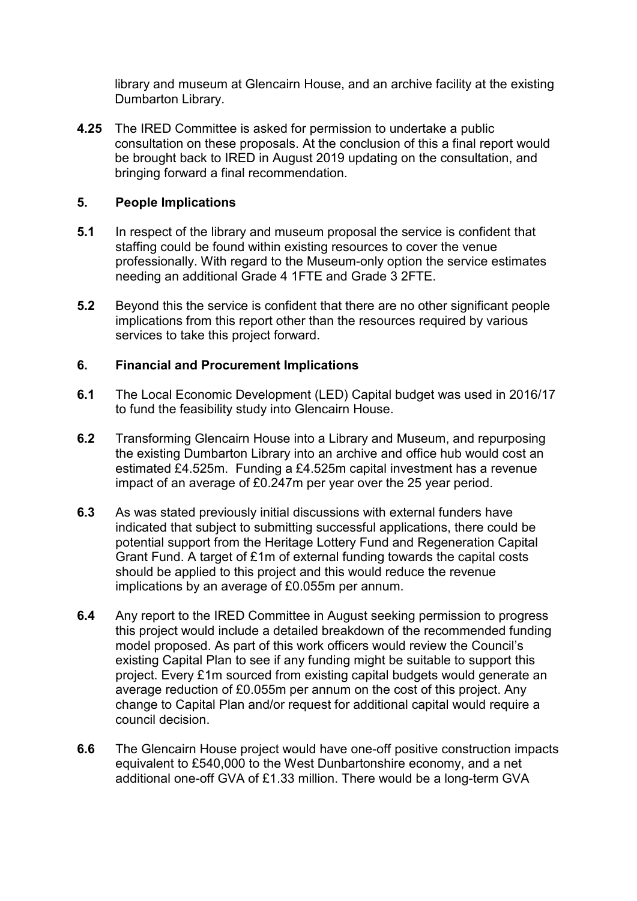library and museum at Glencairn House, and an archive facility at the existing Dumbarton Library.

**4.25** The IRED Committee is asked for permission to undertake a public consultation on these proposals. At the conclusion of this a final report would be brought back to IRED in August 2019 updating on the consultation, and bringing forward a final recommendation.

## **5. People Implications**

- **5.1** In respect of the library and museum proposal the service is confident that staffing could be found within existing resources to cover the venue professionally. With regard to the Museum-only option the service estimates needing an additional Grade 4 1FTE and Grade 3 2FTE.
- **5.2** Beyond this the service is confident that there are no other significant people implications from this report other than the resources required by various services to take this project forward.

## **6. Financial and Procurement Implications**

- **6.1** The Local Economic Development (LED) Capital budget was used in 2016/17 to fund the feasibility study into Glencairn House.
- **6.2** Transforming Glencairn House into a Library and Museum, and repurposing the existing Dumbarton Library into an archive and office hub would cost an estimated £4.525m. Funding a £4.525m capital investment has a revenue impact of an average of £0.247m per year over the 25 year period.
- **6.3** As was stated previously initial discussions with external funders have indicated that subject to submitting successful applications, there could be potential support from the Heritage Lottery Fund and Regeneration Capital Grant Fund. A target of £1m of external funding towards the capital costs should be applied to this project and this would reduce the revenue implications by an average of £0.055m per annum.
- **6.4** Any report to the IRED Committee in August seeking permission to progress this project would include a detailed breakdown of the recommended funding model proposed. As part of this work officers would review the Council's existing Capital Plan to see if any funding might be suitable to support this project. Every £1m sourced from existing capital budgets would generate an average reduction of £0.055m per annum on the cost of this project. Any change to Capital Plan and/or request for additional capital would require a council decision.
- **6.6** The Glencairn House project would have one-off positive construction impacts equivalent to £540,000 to the West Dunbartonshire economy, and a net additional one-off GVA of £1.33 million. There would be a long-term GVA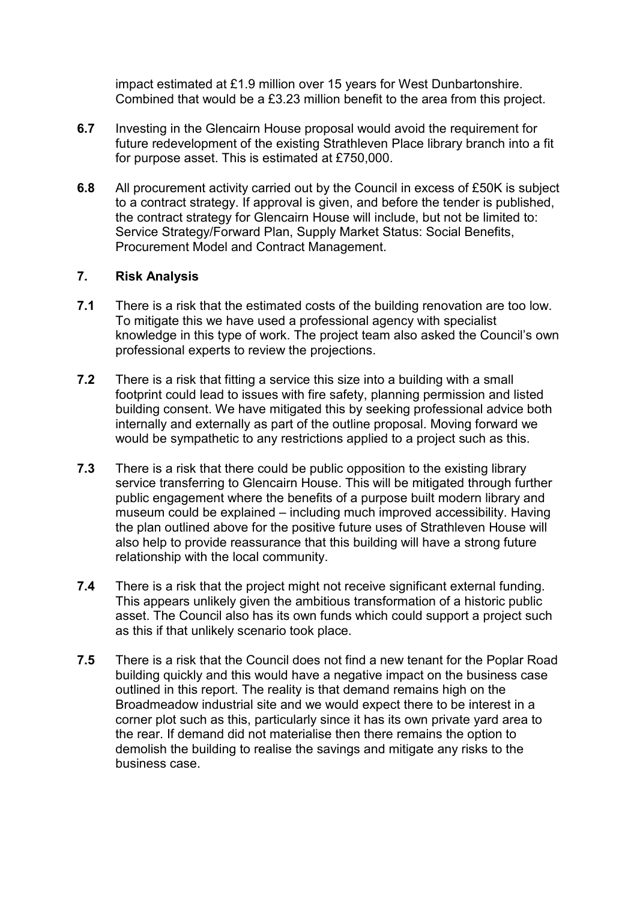impact estimated at £1.9 million over 15 years for West Dunbartonshire. Combined that would be a £3.23 million benefit to the area from this project.

- **6.7** Investing in the Glencairn House proposal would avoid the requirement for future redevelopment of the existing Strathleven Place library branch into a fit for purpose asset. This is estimated at £750,000.
- **6.8** All procurement activity carried out by the Council in excess of £50K is subject to a contract strategy. If approval is given, and before the tender is published, the contract strategy for Glencairn House will include, but not be limited to: Service Strategy/Forward Plan, Supply Market Status: Social Benefits, Procurement Model and Contract Management.

# **7. Risk Analysis**

- **7.1** There is a risk that the estimated costs of the building renovation are too low. To mitigate this we have used a professional agency with specialist knowledge in this type of work. The project team also asked the Council's own professional experts to review the projections.
- **7.2** There is a risk that fitting a service this size into a building with a small footprint could lead to issues with fire safety, planning permission and listed building consent. We have mitigated this by seeking professional advice both internally and externally as part of the outline proposal. Moving forward we would be sympathetic to any restrictions applied to a project such as this.
- **7.3** There is a risk that there could be public opposition to the existing library service transferring to Glencairn House. This will be mitigated through further public engagement where the benefits of a purpose built modern library and museum could be explained – including much improved accessibility. Having the plan outlined above for the positive future uses of Strathleven House will also help to provide reassurance that this building will have a strong future relationship with the local community.
- **7.4** There is a risk that the project might not receive significant external funding. This appears unlikely given the ambitious transformation of a historic public asset. The Council also has its own funds which could support a project such as this if that unlikely scenario took place.
- **7.5** There is a risk that the Council does not find a new tenant for the Poplar Road building quickly and this would have a negative impact on the business case outlined in this report. The reality is that demand remains high on the Broadmeadow industrial site and we would expect there to be interest in a corner plot such as this, particularly since it has its own private yard area to the rear. If demand did not materialise then there remains the option to demolish the building to realise the savings and mitigate any risks to the business case.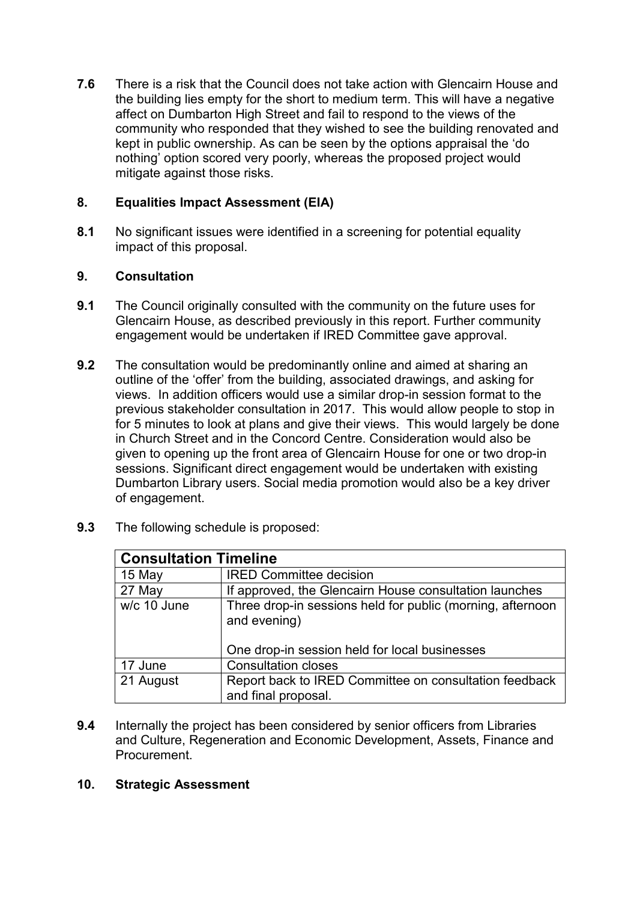**7.6** There is a risk that the Council does not take action with Glencairn House and the building lies empty for the short to medium term. This will have a negative affect on Dumbarton High Street and fail to respond to the views of the community who responded that they wished to see the building renovated and kept in public ownership. As can be seen by the options appraisal the 'do nothing' option scored very poorly, whereas the proposed project would mitigate against those risks.

# **8. Equalities Impact Assessment (EIA)**

**8.1** No significant issues were identified in a screening for potential equality impact of this proposal.

# **9. Consultation**

- **9.1** The Council originally consulted with the community on the future uses for Glencairn House, as described previously in this report. Further community engagement would be undertaken if IRED Committee gave approval.
- **9.2** The consultation would be predominantly online and aimed at sharing an outline of the 'offer' from the building, associated drawings, and asking for views. In addition officers would use a similar drop-in session format to the previous stakeholder consultation in 2017. This would allow people to stop in for 5 minutes to look at plans and give their views. This would largely be done in Church Street and in the Concord Centre. Consideration would also be given to opening up the front area of Glencairn House for one or two drop-in sessions. Significant direct engagement would be undertaken with existing Dumbarton Library users. Social media promotion would also be a key driver of engagement.

| 9.3 | The following schedule is proposed: |  |
|-----|-------------------------------------|--|
|     |                                     |  |

| <b>Consultation Timeline</b> |                                                                                                                             |  |
|------------------------------|-----------------------------------------------------------------------------------------------------------------------------|--|
| 15 May                       | <b>IRED Committee decision</b>                                                                                              |  |
| 27 May                       | If approved, the Glencairn House consultation launches                                                                      |  |
| w/c 10 June                  | Three drop-in sessions held for public (morning, afternoon<br>and evening)<br>One drop-in session held for local businesses |  |
| 17 June                      | <b>Consultation closes</b>                                                                                                  |  |
| 21 August                    | Report back to IRED Committee on consultation feedback<br>and final proposal.                                               |  |

- **9.4** Internally the project has been considered by senior officers from Libraries and Culture, Regeneration and Economic Development, Assets, Finance and Procurement.
- **10. Strategic Assessment**